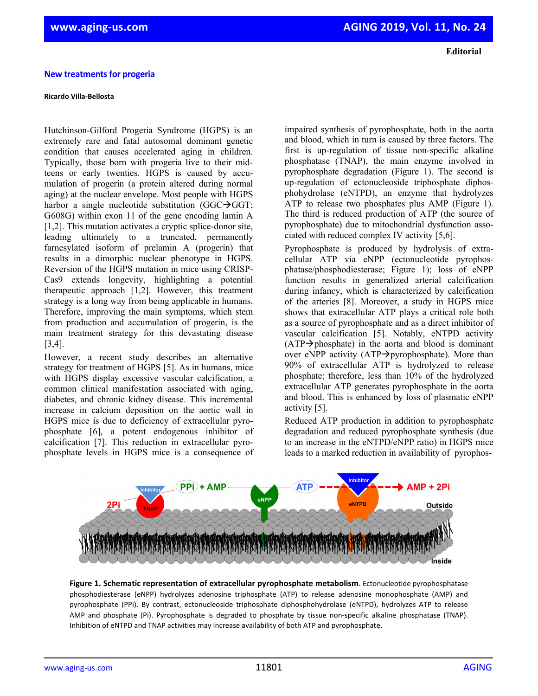## **New treatments for progeria**

## **Ricardo Villa-Bellosta**

Hutchinson-Gilford Progeria Syndrome (HGPS) is an extremely rare and fatal autosomal dominant genetic condition that causes accelerated aging in children. Typically, those born with progeria live to their midteens or early twenties. HGPS is caused by accumulation of progerin (a protein altered during normal aging) at the nuclear envelope. Most people with HGPS harbor a single nucleotide substitution (GGC $\rightarrow$ GGT; G608G) within exon 11 of the gene encoding lamin A [1,2]. This mutation activates a cryptic splice-donor site, leading ultimately to a truncated, permanently farnesylated isoform of prelamin A (progerin) that results in a dimorphic nuclear phenotype in HGPS. Reversion of the HGPS mutation in mice using CRISP-Cas9 extends longevity, highlighting a potential therapeutic approach [1,2]. However, this treatment strategy is a long way from being applicable in humans. Therefore, improving the main symptoms, which stem from production and accumulation of progerin, is the main treatment strategy for this devastating disease [3,4].

However, a recent study describes an alternative strategy for treatment of HGPS [5]. As in humans, mice with HGPS display excessive vascular calcification, a common clinical manifestation associated with aging, diabetes, and chronic kidney disease. This incremental increase in calcium deposition on the aortic wall in HGPS mice is due to deficiency of extracellular pyrophosphate [6], a potent endogenous inhibitor of calcification [7]. This reduction in extracellular pyrophosphate levels in HGPS mice is a consequence of impaired synthesis of pyrophosphate, both in the aorta and blood, which in turn is caused by three factors. The first is up-regulation of tissue non-specific alkaline phosphatase (TNAP), the main enzyme involved in pyrophosphate degradation (Figure 1). The second is up-regulation of ectonucleoside triphosphate diphosphohydrolase (eNTPD), an enzyme that hydrolyzes ATP to release two phosphates plus AMP (Figure 1). The third is reduced production of ATP (the source of pyrophosphate) due to mitochondrial dysfunction associated with reduced complex IV activity [5,6].

Pyrophosphate is produced by hydrolysis of extracellular ATP via eNPP (ectonucleotide pyrophosphatase/phosphodiesterase; Figure 1); loss of eNPP function results in generalized arterial calcification during infancy, which is characterized by calcification of the arteries [8]. Moreover, a study in HGPS mice shows that extracellular ATP plays a critical role both as a source of pyrophosphate and as a direct inhibitor of vascular calcification [5]. Notably, eNTPD activity  $(ATP \rightarrow phosphate)$  in the aorta and blood is dominant over eNPP activity (ATP $\rightarrow$ pyrophosphate). More than 90% of extracellular ATP is hydrolyzed to release phosphate; therefore, less than 10% of the hydrolyzed extracellular ATP generates pyrophosphate in the aorta and blood. This is enhanced by loss of plasmatic eNPP activity [5].

Reduced ATP production in addition to pyrophosphate degradation and reduced pyrophosphate synthesis (due to an increase in the eNTPD/eNPP ratio) in HGPS mice leads to a marked reduction in availability of pyrophos-



**Figure 1. Schematic representation of extracellular pyrophosphate metabolism**. Ectonucleotide pyrophosphatase phosphodiesterase (eNPP) hydrolyzes adenosine triphosphate (ATP) to release adenosine monophosphate (AMP) and pyrophosphate (PPi). By contrast, ectonucleoside triphosphate diphosphohydrolase (eNTPD), hydrolyzes ATP to release AMP and phosphate (Pi). Pyrophosphate is degraded to phosphate by tissue non-specific alkaline phosphatase (TNAP). Inhibition of eNTPD and TNAP activities may increase availability of both ATP and pyrophosphate.